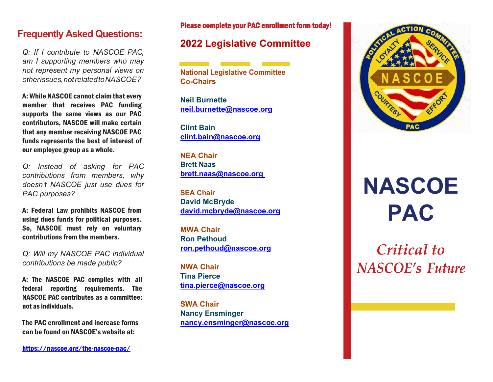#### **Frequently Asked Questions:**

*Q: If I contribute to NASCOE PAC, am I supporting members who may not represent my personal views on otherissues,notrelatedtoNASCOE?*

A: While NASCOE cannot claim that every member that receives PAC funding supports the same views as our PAC contributors, NASCOE will make certain that any member receiving NASCOE PAC funds represents the best of interest of our employee group as a whole.

*Q: Instead of asking for PAC contributions from members, why doesn*'*t NASCOE just use dues for PAC purposes?*

A: Federal Law prohibits NASCOE from using dues funds for political purposes. So, NASCOE must rely on voluntary contributions from the members.

*Q: Will my NASCOE PAC individual contributions be made public?*

A: The NASCOE PAC complies with all federal reporting requirements. The NASCOE PAC contributes as a committee; not as individuals.

The PAC enrollment and increase forms can be found on NASCOE's website at:

<https://nascoe.org/the-nascoe-pac/>

#### Please complete your PAC enrollment form today!

#### **2022 Legislative Committee**

**National Legislative Committee Co-Chairs**

**Neil Burnette [neil.burnette@nascoe.org](mailto:neil.burnette@nascoe.org)**

**Clint Bain [clint.bain@nascoe.org](about:blank)**

**NEA Chair [Brett](about:blank) Naas [brett.naas@nascoe.org](mailto:brett.naas@nascoe.org)**

**SEA Chair [David](about:blank) McBryde david.mcbryde@nascoe.org**

**MWA Chair Ron Pethoud ron.pethoud@nascoe.org**

**NWA Chair Tina Pierce [tina.pierce@nascoe.org](mailto:tina.pierce@nascoe.org)**

**SWA Chair Nancy Ensminger [nancy.ensminger@nascoe.org](mailto:nancy.ensminger@nascoe.org)**



# **NASCOE PAC**

*Critical to* **NASCOE's Future**